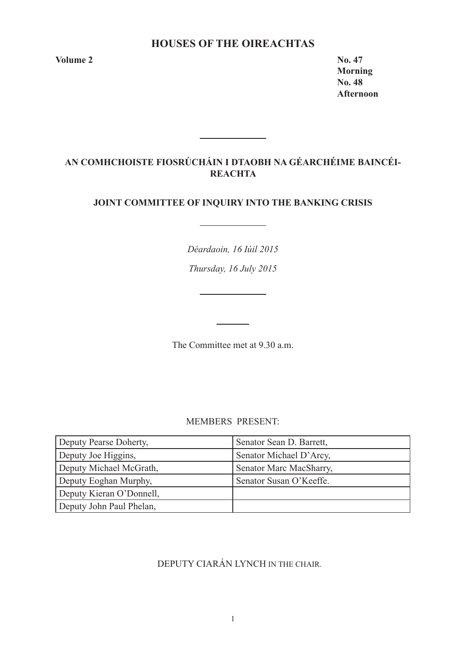## **HOUSES OF THE OIREACHTAS**

**Volume 2 No. 47** 

**Morning No. 48 Afternoon** 

# **AN COMHCHOISTE FIOSRÚCHÁIN I DTAOBH NA GÉARCHÉIME BAINCÉI-REACHTA**

<u> 1990 - Jan Barnett, politik e</u>

## **JOINT COMMITTEE OF INQUIRY INTO THE BANKING CRISIS**

*Déardaoin, 16 Iúil 2015*

*Thursday, 16 July 2015*

<u> 1990 - John Barn Barn, amerikansk politiker</u>

The Committee met at 9.30 a.m.

MEMBERS PRESENT:

| Deputy Pearse Doherty,   | Senator Sean D. Barrett, |
|--------------------------|--------------------------|
| Deputy Joe Higgins,      | Senator Michael D'Arcy,  |
| Deputy Michael McGrath,  | Senator Marc MacSharry,  |
| Deputy Eoghan Murphy,    | Senator Susan O'Keeffe.  |
| Deputy Kieran O'Donnell, |                          |
| Deputy John Paul Phelan, |                          |

# DEPUTY CIARÁN LYNCH IN THE CHAIR.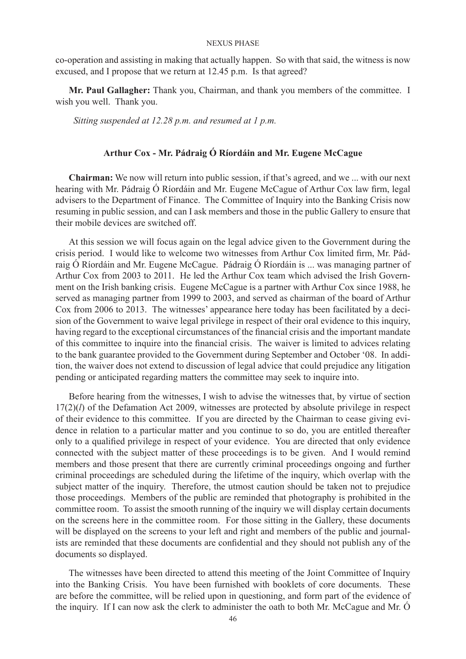co-operation and assisting in making that actually happen. So with that said, the witness is now excused, and I propose that we return at 12.45 p.m. Is that agreed?

**Mr. Paul Gallagher:** Thank you, Chairman, and thank you members of the committee. I wish you well. Thank you.

 *Sitting suspended at 12.28 p.m. and resumed at 1 p.m.*

## **Arthur Cox - Mr. Pádraig Ó Ríordáin and Mr. Eugene McCague**

**Chairman:** We now will return into public session, if that's agreed, and we ... with our next hearing with Mr. Pádraig Ó Ríordáin and Mr. Eugene McCague of Arthur Cox law firm, legal advisers to the Department of Finance. The Committee of Inquiry into the Banking Crisis now resuming in public session, and can I ask members and those in the public Gallery to ensure that their mobile devices are switched off.

At this session we will focus again on the legal advice given to the Government during the crisis period. I would like to welcome two witnesses from Arthur Cox limited firm, Mr. Pádraig Ó Ríordáin and Mr. Eugene McCague. Pádraig Ó Ríordáin is ... was managing partner of Arthur Cox from 2003 to 2011. He led the Arthur Cox team which advised the Irish Government on the Irish banking crisis. Eugene McCague is a partner with Arthur Cox since 1988, he served as managing partner from 1999 to 2003, and served as chairman of the board of Arthur Cox from 2006 to 2013. The witnesses' appearance here today has been facilitated by a decision of the Government to waive legal privilege in respect of their oral evidence to this inquiry, having regard to the exceptional circumstances of the financial crisis and the important mandate of this committee to inquire into the financial crisis. The waiver is limited to advices relating to the bank guarantee provided to the Government during September and October '08. In addition, the waiver does not extend to discussion of legal advice that could prejudice any litigation pending or anticipated regarding matters the committee may seek to inquire into.

Before hearing from the witnesses, I wish to advise the witnesses that, by virtue of section 17(2)(*l*) of the Defamation Act 2009, witnesses are protected by absolute privilege in respect of their evidence to this committee. If you are directed by the Chairman to cease giving evidence in relation to a particular matter and you continue to so do, you are entitled thereafter only to a qualified privilege in respect of your evidence. You are directed that only evidence connected with the subject matter of these proceedings is to be given. And I would remind members and those present that there are currently criminal proceedings ongoing and further criminal proceedings are scheduled during the lifetime of the inquiry, which overlap with the subject matter of the inquiry. Therefore, the utmost caution should be taken not to prejudice those proceedings. Members of the public are reminded that photography is prohibited in the committee room. To assist the smooth running of the inquiry we will display certain documents on the screens here in the committee room. For those sitting in the Gallery, these documents will be displayed on the screens to your left and right and members of the public and journalists are reminded that these documents are confidential and they should not publish any of the documents so displayed.

The witnesses have been directed to attend this meeting of the Joint Committee of Inquiry into the Banking Crisis. You have been furnished with booklets of core documents. These are before the committee, will be relied upon in questioning, and form part of the evidence of the inquiry. If I can now ask the clerk to administer the oath to both Mr. McCague and Mr. Ó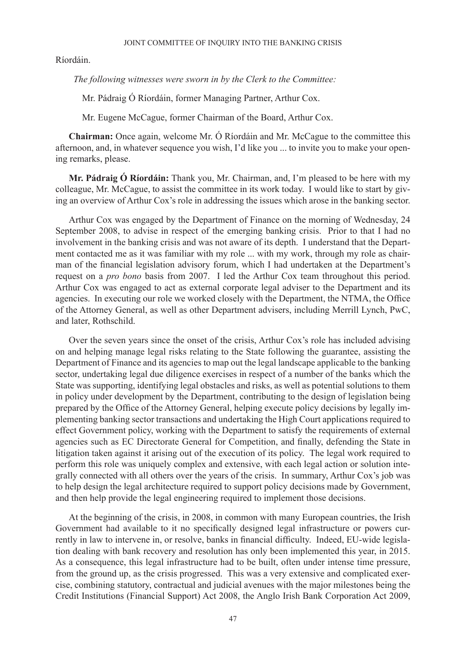Ríordáin.

 *The following witnesses were sworn in by the Clerk to the Committee:*

Mr. Pádraig Ó Ríordáin, former Managing Partner, Arthur Cox.

Mr. Eugene McCague, former Chairman of the Board, Arthur Cox.

**Chairman:** Once again, welcome Mr. Ó Ríordáin and Mr. McCague to the committee this afternoon, and, in whatever sequence you wish, I'd like you ... to invite you to make your opening remarks, please.

**Mr. Pádraig Ó Ríordáin:** Thank you, Mr. Chairman, and, I'm pleased to be here with my colleague, Mr. McCague, to assist the committee in its work today. I would like to start by giving an overview of Arthur Cox's role in addressing the issues which arose in the banking sector.

Arthur Cox was engaged by the Department of Finance on the morning of Wednesday, 24 September 2008, to advise in respect of the emerging banking crisis. Prior to that I had no involvement in the banking crisis and was not aware of its depth. I understand that the Department contacted me as it was familiar with my role ... with my work, through my role as chairman of the financial legislation advisory forum, which I had undertaken at the Department's request on a *pro bono* basis from 2007. I led the Arthur Cox team throughout this period. Arthur Cox was engaged to act as external corporate legal adviser to the Department and its agencies. In executing our role we worked closely with the Department, the NTMA, the Office of the Attorney General, as well as other Department advisers, including Merrill Lynch, PwC, and later, Rothschild.

Over the seven years since the onset of the crisis, Arthur Cox's role has included advising on and helping manage legal risks relating to the State following the guarantee, assisting the Department of Finance and its agencies to map out the legal landscape applicable to the banking sector, undertaking legal due diligence exercises in respect of a number of the banks which the State was supporting, identifying legal obstacles and risks, as well as potential solutions to them in policy under development by the Department, contributing to the design of legislation being prepared by the Office of the Attorney General, helping execute policy decisions by legally implementing banking sector transactions and undertaking the High Court applications required to effect Government policy, working with the Department to satisfy the requirements of external agencies such as EC Directorate General for Competition, and finally, defending the State in litigation taken against it arising out of the execution of its policy. The legal work required to perform this role was uniquely complex and extensive, with each legal action or solution integrally connected with all others over the years of the crisis. In summary, Arthur Cox's job was to help design the legal architecture required to support policy decisions made by Government, and then help provide the legal engineering required to implement those decisions.

At the beginning of the crisis, in 2008, in common with many European countries, the Irish Government had available to it no specifically designed legal infrastructure or powers currently in law to intervene in, or resolve, banks in financial difficulty. Indeed, EU-wide legislation dealing with bank recovery and resolution has only been implemented this year, in 2015. As a consequence, this legal infrastructure had to be built, often under intense time pressure, from the ground up, as the crisis progressed. This was a very extensive and complicated exercise, combining statutory, contractual and judicial avenues with the major milestones being the Credit Institutions (Financial Support) Act 2008, the Anglo Irish Bank Corporation Act 2009,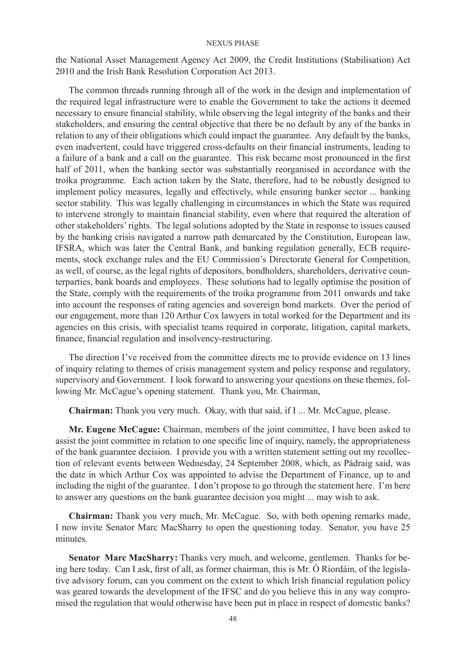the National Asset Management Agency Act 2009, the Credit Institutions (Stabilisation) Act 2010 and the Irish Bank Resolution Corporation Act 2013.

The common threads running through all of the work in the design and implementation of the required legal infrastructure were to enable the Government to take the actions it deemed necessary to ensure financial stability, while observing the legal integrity of the banks and their stakeholders, and ensuring the central objective that there be no default by any of the banks in relation to any of their obligations which could impact the guarantee. Any default by the banks, even inadvertent, could have triggered cross-defaults on their financial instruments, leading to a failure of a bank and a call on the guarantee. This risk became most pronounced in the first half of 2011, when the banking sector was substantially reorganised in accordance with the troika programme. Each action taken by the State, therefore, had to be robustly designed to implement policy measures, legally and effectively, while ensuring banker sector ... banking sector stability. This was legally challenging in circumstances in which the State was required to intervene strongly to maintain financial stability, even where that required the alteration of other stakeholders' rights. The legal solutions adopted by the State in response to issues caused by the banking crisis navigated a narrow path demarcated by the Constitution, European law, IFSRA, which was later the Central Bank, and banking regulation generally, ECB requirements, stock exchange rules and the EU Commission's Directorate General for Competition, as well, of course, as the legal rights of depositors, bondholders, shareholders, derivative counterparties, bank boards and employees. These solutions had to legally optimise the position of the State, comply with the requirements of the troika programme from 2011 onwards and take into account the responses of rating agencies and sovereign bond markets. Over the period of our engagement, more than 120 Arthur Cox lawyers in total worked for the Department and its agencies on this crisis, with specialist teams required in corporate, litigation, capital markets, finance, financial regulation and insolvency-restructuring.

The direction I've received from the committee directs me to provide evidence on 13 lines of inquiry relating to themes of crisis management system and policy response and regulatory, supervisory and Government. I look forward to answering your questions on these themes, following Mr. McCague's opening statement. Thank you, Mr. Chairman,

**Chairman:** Thank you very much. Okay, with that said, if I ... Mr. McCague, please.

**Mr. Eugene McCague:** Chairman, members of the joint committee, I have been asked to assist the joint committee in relation to one specific line of inquiry, namely, the appropriateness of the bank guarantee decision. I provide you with a written statement setting out my recollection of relevant events between Wednesday, 24 September 2008, which, as Pádraig said, was the date in which Arthur Cox was appointed to advise the Department of Finance, up to and including the night of the guarantee. I don't propose to go through the statement here. I'm here to answer any questions on the bank guarantee decision you might ... may wish to ask.

**Chairman:** Thank you very much, Mr. McCague. So, with both opening remarks made, I now invite Senator Marc MacSharry to open the questioning today. Senator, you have 25 minutes.

**Senator Marc MacSharry:** Thanks very much, and welcome, gentlemen. Thanks for being here today. Can I ask, first of all, as former chairman, this is Mr. Ó Ríordáin, of the legislative advisory forum, can you comment on the extent to which Irish financial regulation policy was geared towards the development of the IFSC and do you believe this in any way compromised the regulation that would otherwise have been put in place in respect of domestic banks?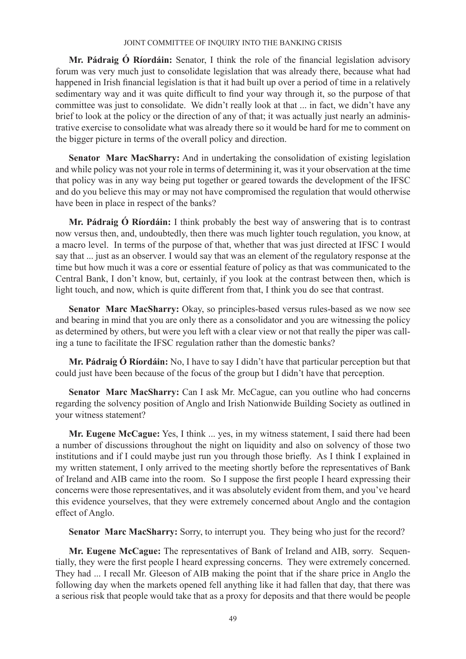**Mr. Pádraig Ó Ríordáin:** Senator, I think the role of the financial legislation advisory forum was very much just to consolidate legislation that was already there, because what had happened in Irish financial legislation is that it had built up over a period of time in a relatively sedimentary way and it was quite difficult to find your way through it, so the purpose of that committee was just to consolidate. We didn't really look at that ... in fact, we didn't have any brief to look at the policy or the direction of any of that; it was actually just nearly an administrative exercise to consolidate what was already there so it would be hard for me to comment on the bigger picture in terms of the overall policy and direction.

**Senator Marc MacSharry:** And in undertaking the consolidation of existing legislation and while policy was not your role in terms of determining it, was it your observation at the time that policy was in any way being put together or geared towards the development of the IFSC and do you believe this may or may not have compromised the regulation that would otherwise have been in place in respect of the banks?

**Mr. Pádraig Ó Ríordáin:** I think probably the best way of answering that is to contrast now versus then, and, undoubtedly, then there was much lighter touch regulation, you know, at a macro level. In terms of the purpose of that, whether that was just directed at IFSC I would say that ... just as an observer. I would say that was an element of the regulatory response at the time but how much it was a core or essential feature of policy as that was communicated to the Central Bank, I don't know, but, certainly, if you look at the contrast between then, which is light touch, and now, which is quite different from that, I think you do see that contrast.

**Senator Marc MacSharry:** Okay, so principles-based versus rules-based as we now see and bearing in mind that you are only there as a consolidator and you are witnessing the policy as determined by others, but were you left with a clear view or not that really the piper was calling a tune to facilitate the IFSC regulation rather than the domestic banks?

**Mr. Pádraig Ó Ríordáin:** No, I have to say I didn't have that particular perception but that could just have been because of the focus of the group but I didn't have that perception.

**Senator Marc MacSharry:** Can I ask Mr. McCague, can you outline who had concerns regarding the solvency position of Anglo and Irish Nationwide Building Society as outlined in your witness statement?

**Mr. Eugene McCague:** Yes, I think ... yes, in my witness statement, I said there had been a number of discussions throughout the night on liquidity and also on solvency of those two institutions and if I could maybe just run you through those briefly. As I think I explained in my written statement, I only arrived to the meeting shortly before the representatives of Bank of Ireland and AIB came into the room. So I suppose the first people I heard expressing their concerns were those representatives, and it was absolutely evident from them, and you've heard this evidence yourselves, that they were extremely concerned about Anglo and the contagion effect of Anglo.

**Senator Marc MacSharry:** Sorry, to interrupt you. They being who just for the record?

**Mr. Eugene McCague:** The representatives of Bank of Ireland and AIB, sorry. Sequentially, they were the first people I heard expressing concerns. They were extremely concerned. They had ... I recall Mr. Gleeson of AIB making the point that if the share price in Anglo the following day when the markets opened fell anything like it had fallen that day, that there was a serious risk that people would take that as a proxy for deposits and that there would be people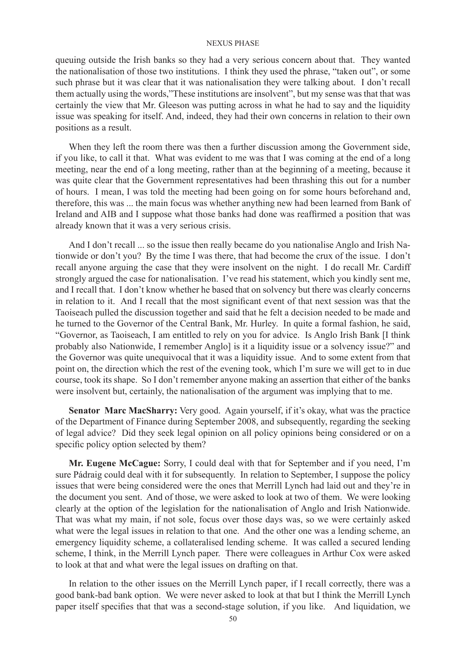queuing outside the Irish banks so they had a very serious concern about that. They wanted the nationalisation of those two institutions. I think they used the phrase, "taken out", or some such phrase but it was clear that it was nationalisation they were talking about. I don't recall them actually using the words,"These institutions are insolvent", but my sense was that that was certainly the view that Mr. Gleeson was putting across in what he had to say and the liquidity issue was speaking for itself. And, indeed, they had their own concerns in relation to their own positions as a result.

When they left the room there was then a further discussion among the Government side, if you like, to call it that. What was evident to me was that I was coming at the end of a long meeting, near the end of a long meeting, rather than at the beginning of a meeting, because it was quite clear that the Government representatives had been thrashing this out for a number of hours. I mean, I was told the meeting had been going on for some hours beforehand and, therefore, this was ... the main focus was whether anything new had been learned from Bank of Ireland and AIB and I suppose what those banks had done was reaffirmed a position that was already known that it was a very serious crisis.

And I don't recall ... so the issue then really became do you nationalise Anglo and Irish Nationwide or don't you? By the time I was there, that had become the crux of the issue. I don't recall anyone arguing the case that they were insolvent on the night. I do recall Mr. Cardiff strongly argued the case for nationalisation. I've read his statement, which you kindly sent me, and I recall that. I don't know whether he based that on solvency but there was clearly concerns in relation to it. And I recall that the most significant event of that next session was that the Taoiseach pulled the discussion together and said that he felt a decision needed to be made and he turned to the Governor of the Central Bank, Mr. Hurley. In quite a formal fashion, he said, "Governor, as Taoiseach, I am entitled to rely on you for advice. Is Anglo Irish Bank [I think probably also Nationwide, I remember Anglo] is it a liquidity issue or a solvency issue?" and the Governor was quite unequivocal that it was a liquidity issue. And to some extent from that point on, the direction which the rest of the evening took, which I'm sure we will get to in due course, took its shape. So I don't remember anyone making an assertion that either of the banks were insolvent but, certainly, the nationalisation of the argument was implying that to me.

**Senator Marc MacSharry:** Very good. Again yourself, if it's okay, what was the practice of the Department of Finance during September 2008, and subsequently, regarding the seeking of legal advice? Did they seek legal opinion on all policy opinions being considered or on a specific policy option selected by them?

**Mr. Eugene McCague:** Sorry, I could deal with that for September and if you need, I'm sure Pádraig could deal with it for subsequently. In relation to September, I suppose the policy issues that were being considered were the ones that Merrill Lynch had laid out and they're in the document you sent. And of those, we were asked to look at two of them. We were looking clearly at the option of the legislation for the nationalisation of Anglo and Irish Nationwide. That was what my main, if not sole, focus over those days was, so we were certainly asked what were the legal issues in relation to that one. And the other one was a lending scheme, an emergency liquidity scheme, a collateralised lending scheme. It was called a secured lending scheme, I think, in the Merrill Lynch paper. There were colleagues in Arthur Cox were asked to look at that and what were the legal issues on drafting on that.

In relation to the other issues on the Merrill Lynch paper, if I recall correctly, there was a good bank-bad bank option. We were never asked to look at that but I think the Merrill Lynch paper itself specifies that that was a second-stage solution, if you like. And liquidation, we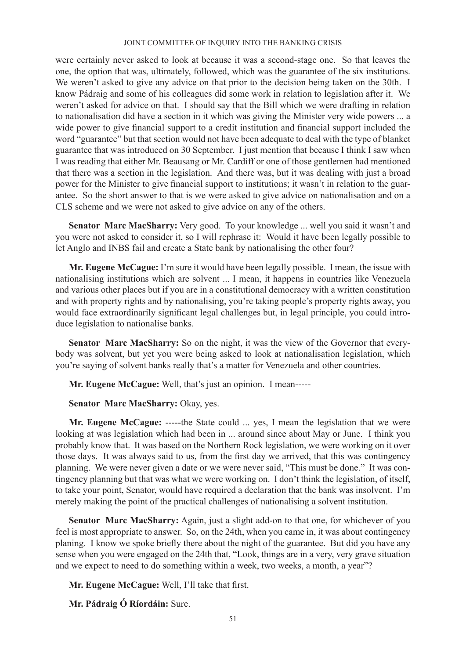were certainly never asked to look at because it was a second-stage one. So that leaves the one, the option that was, ultimately, followed, which was the guarantee of the six institutions. We weren't asked to give any advice on that prior to the decision being taken on the 30th. I know Pádraig and some of his colleagues did some work in relation to legislation after it. We weren't asked for advice on that. I should say that the Bill which we were drafting in relation to nationalisation did have a section in it which was giving the Minister very wide powers ... a wide power to give financial support to a credit institution and financial support included the word "guarantee" but that section would not have been adequate to deal with the type of blanket guarantee that was introduced on 30 September. I just mention that because I think I saw when I was reading that either Mr. Beausang or Mr. Cardiff or one of those gentlemen had mentioned that there was a section in the legislation. And there was, but it was dealing with just a broad power for the Minister to give financial support to institutions; it wasn't in relation to the guarantee. So the short answer to that is we were asked to give advice on nationalisation and on a CLS scheme and we were not asked to give advice on any of the others.

**Senator Marc MacSharry:** Very good. To your knowledge ... well you said it wasn't and you were not asked to consider it, so I will rephrase it: Would it have been legally possible to let Anglo and INBS fail and create a State bank by nationalising the other four?

**Mr. Eugene McCague:** I'm sure it would have been legally possible. I mean, the issue with nationalising institutions which are solvent ... I mean, it happens in countries like Venezuela and various other places but if you are in a constitutional democracy with a written constitution and with property rights and by nationalising, you're taking people's property rights away, you would face extraordinarily significant legal challenges but, in legal principle, you could introduce legislation to nationalise banks.

**Senator Marc MacSharry:** So on the night, it was the view of the Governor that everybody was solvent, but yet you were being asked to look at nationalisation legislation, which you're saying of solvent banks really that's a matter for Venezuela and other countries.

**Mr. Eugene McCague:** Well, that's just an opinion. I mean-----

**Senator Marc MacSharry:** Okay, yes.

**Mr. Eugene McCague:** -----the State could ... yes, I mean the legislation that we were looking at was legislation which had been in ... around since about May or June. I think you probably know that. It was based on the Northern Rock legislation, we were working on it over those days. It was always said to us, from the first day we arrived, that this was contingency planning. We were never given a date or we were never said, "This must be done." It was contingency planning but that was what we were working on. I don't think the legislation, of itself, to take your point, Senator, would have required a declaration that the bank was insolvent. I'm merely making the point of the practical challenges of nationalising a solvent institution.

**Senator Marc MacSharry:** Again, just a slight add-on to that one, for whichever of you feel is most appropriate to answer. So, on the 24th, when you came in, it was about contingency planing. I know we spoke briefly there about the night of the guarantee. But did you have any sense when you were engaged on the 24th that, "Look, things are in a very, very grave situation and we expect to need to do something within a week, two weeks, a month, a year"?

**Mr. Eugene McCague:** Well, I'll take that first.

**Mr. Pádraig Ó Ríordáin:** Sure.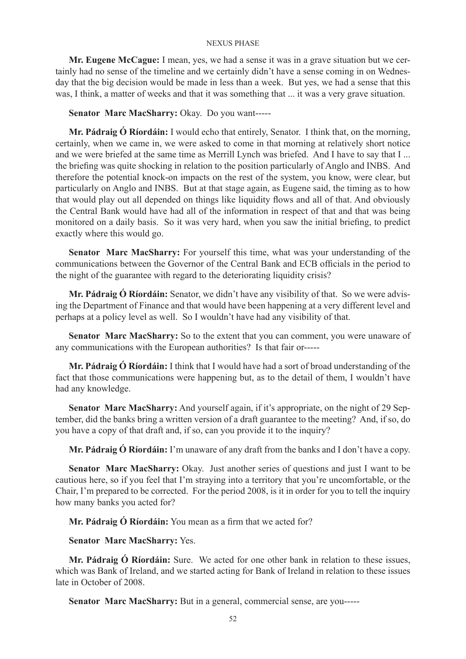**Mr. Eugene McCague:** I mean, yes, we had a sense it was in a grave situation but we certainly had no sense of the timeline and we certainly didn't have a sense coming in on Wednesday that the big decision would be made in less than a week. But yes, we had a sense that this was, I think, a matter of weeks and that it was something that ... it was a very grave situation.

**Senator Marc MacSharry:** Okay. Do you want-----

**Mr. Pádraig Ó Ríordáin:** I would echo that entirely, Senator. I think that, on the morning, certainly, when we came in, we were asked to come in that morning at relatively short notice and we were briefed at the same time as Merrill Lynch was briefed. And I have to say that I ... the briefing was quite shocking in relation to the position particularly of Anglo and INBS. And therefore the potential knock-on impacts on the rest of the system, you know, were clear, but particularly on Anglo and INBS. But at that stage again, as Eugene said, the timing as to how that would play out all depended on things like liquidity flows and all of that. And obviously the Central Bank would have had all of the information in respect of that and that was being monitored on a daily basis. So it was very hard, when you saw the initial briefing, to predict exactly where this would go.

**Senator Marc MacSharry:** For yourself this time, what was your understanding of the communications between the Governor of the Central Bank and ECB officials in the period to the night of the guarantee with regard to the deteriorating liquidity crisis?

**Mr. Pádraig Ó Ríordáin:** Senator, we didn't have any visibility of that. So we were advising the Department of Finance and that would have been happening at a very different level and perhaps at a policy level as well. So I wouldn't have had any visibility of that.

**Senator Marc MacSharry:** So to the extent that you can comment, you were unaware of any communications with the European authorities? Is that fair or-----

**Mr. Pádraig Ó Ríordáin:** I think that I would have had a sort of broad understanding of the fact that those communications were happening but, as to the detail of them, I wouldn't have had any knowledge.

**Senator Marc MacSharry:** And yourself again, if it's appropriate, on the night of 29 September, did the banks bring a written version of a draft guarantee to the meeting? And, if so, do you have a copy of that draft and, if so, can you provide it to the inquiry?

**Mr. Pádraig Ó Ríordáin:** I'm unaware of any draft from the banks and I don't have a copy.

**Senator Marc MacSharry:** Okay. Just another series of questions and just I want to be cautious here, so if you feel that I'm straying into a territory that you're uncomfortable, or the Chair, I'm prepared to be corrected. For the period 2008, is it in order for you to tell the inquiry how many banks you acted for?

**Mr. Pádraig Ó Ríordáin:** You mean as a firm that we acted for?

## **Senator Marc MacSharry:** Yes.

**Mr. Pádraig Ó Ríordáin:** Sure. We acted for one other bank in relation to these issues, which was Bank of Ireland, and we started acting for Bank of Ireland in relation to these issues late in October of 2008.

**Senator Marc MacSharry:** But in a general, commercial sense, are you-----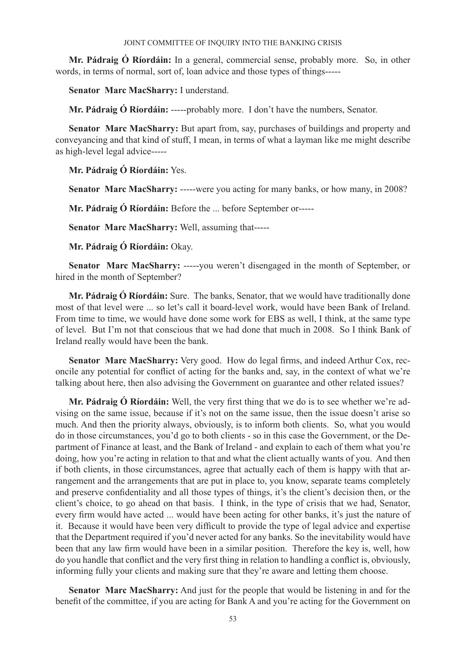**Mr. Pádraig Ó Ríordáin:** In a general, commercial sense, probably more. So, in other words, in terms of normal, sort of, loan advice and those types of things-----

**Senator Marc MacSharry:** I understand.

**Mr. Pádraig Ó Ríordáin:** -----probably more. I don't have the numbers, Senator.

**Senator Marc MacSharry:** But apart from, say, purchases of buildings and property and conveyancing and that kind of stuff, I mean, in terms of what a layman like me might describe as high-level legal advice-----

**Mr. Pádraig Ó Ríordáin:** Yes.

**Senator Marc MacSharry:** -----were you acting for many banks, or how many, in 2008?

**Mr. Pádraig Ó Ríordáin:** Before the ... before September or-----

**Senator Marc MacSharry:** Well, assuming that-----

**Mr. Pádraig Ó Ríordáin:** Okay.

**Senator Marc MacSharry:** -----you weren't disengaged in the month of September, or hired in the month of September?

**Mr. Pádraig Ó Ríordáin:** Sure. The banks, Senator, that we would have traditionally done most of that level were ... so let's call it board-level work, would have been Bank of Ireland. From time to time, we would have done some work for EBS as well, I think, at the same type of level. But I'm not that conscious that we had done that much in 2008. So I think Bank of Ireland really would have been the bank.

**Senator Marc MacSharry:** Very good. How do legal firms, and indeed Arthur Cox, reconcile any potential for conflict of acting for the banks and, say, in the context of what we're talking about here, then also advising the Government on guarantee and other related issues?

**Mr. Pádraig Ó Ríordáin:** Well, the very first thing that we do is to see whether we're advising on the same issue, because if it's not on the same issue, then the issue doesn't arise so much. And then the priority always, obviously, is to inform both clients. So, what you would do in those circumstances, you'd go to both clients - so in this case the Government, or the Department of Finance at least, and the Bank of Ireland - and explain to each of them what you're doing, how you're acting in relation to that and what the client actually wants of you. And then if both clients, in those circumstances, agree that actually each of them is happy with that arrangement and the arrangements that are put in place to, you know, separate teams completely and preserve confidentiality and all those types of things, it's the client's decision then, or the client's choice, to go ahead on that basis. I think, in the type of crisis that we had, Senator, every firm would have acted ... would have been acting for other banks, it's just the nature of it. Because it would have been very difficult to provide the type of legal advice and expertise that the Department required if you'd never acted for any banks. So the inevitability would have been that any law firm would have been in a similar position. Therefore the key is, well, how do you handle that conflict and the very first thing in relation to handling a conflict is, obviously, informing fully your clients and making sure that they're aware and letting them choose.

**Senator Marc MacSharry:** And just for the people that would be listening in and for the benefit of the committee, if you are acting for Bank A and you're acting for the Government on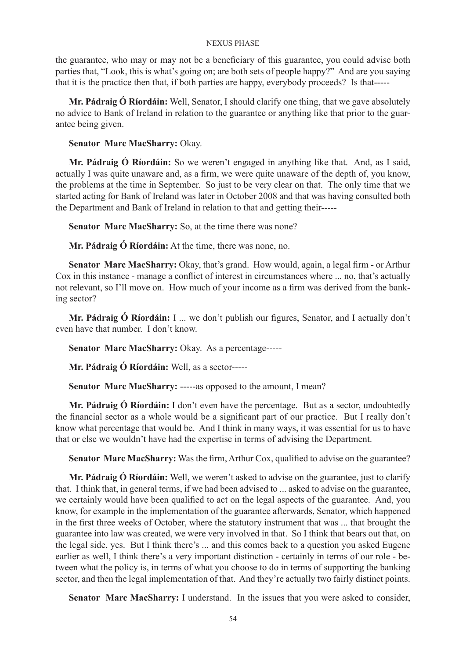the guarantee, who may or may not be a beneficiary of this guarantee, you could advise both parties that, "Look, this is what's going on; are both sets of people happy?" And are you saying that it is the practice then that, if both parties are happy, everybody proceeds? Is that-----

**Mr. Pádraig Ó Ríordáin:** Well, Senator, I should clarify one thing, that we gave absolutely no advice to Bank of Ireland in relation to the guarantee or anything like that prior to the guarantee being given.

**Senator Marc MacSharry:** Okay.

**Mr. Pádraig Ó Ríordáin:** So we weren't engaged in anything like that. And, as I said, actually I was quite unaware and, as a firm, we were quite unaware of the depth of, you know, the problems at the time in September. So just to be very clear on that. The only time that we started acting for Bank of Ireland was later in October 2008 and that was having consulted both the Department and Bank of Ireland in relation to that and getting their-----

**Senator Marc MacSharry:** So, at the time there was none?

**Mr. Pádraig Ó Ríordáin:** At the time, there was none, no.

**Senator Marc MacSharry:** Okay, that's grand. How would, again, a legal firm - or Arthur Cox in this instance - manage a conflict of interest in circumstances where ... no, that's actually not relevant, so I'll move on. How much of your income as a firm was derived from the banking sector?

**Mr. Pádraig Ó Ríordáin:** I ... we don't publish our figures, Senator, and I actually don't even have that number. I don't know.

**Senator Marc MacSharry:** Okay. As a percentage-----

**Mr. Pádraig Ó Ríordáin:** Well, as a sector-----

Senator Marc MacSharry: -----as opposed to the amount, I mean?

**Mr. Pádraig Ó Ríordáin:** I don't even have the percentage. But as a sector, undoubtedly the financial sector as a whole would be a significant part of our practice. But I really don't know what percentage that would be. And I think in many ways, it was essential for us to have that or else we wouldn't have had the expertise in terms of advising the Department.

**Senator Marc MacSharry:** Was the firm, Arthur Cox, qualified to advise on the guarantee?

**Mr. Pádraig Ó Ríordáin:** Well, we weren't asked to advise on the guarantee, just to clarify that. I think that, in general terms, if we had been advised to ... asked to advise on the guarantee, we certainly would have been qualified to act on the legal aspects of the guarantee. And, you know, for example in the implementation of the guarantee afterwards, Senator, which happened in the first three weeks of October, where the statutory instrument that was ... that brought the guarantee into law was created, we were very involved in that. So I think that bears out that, on the legal side, yes. But I think there's ... and this comes back to a question you asked Eugene earlier as well, I think there's a very important distinction - certainly in terms of our role - between what the policy is, in terms of what you choose to do in terms of supporting the banking sector, and then the legal implementation of that. And they're actually two fairly distinct points.

**Senator Marc MacSharry:** I understand. In the issues that you were asked to consider,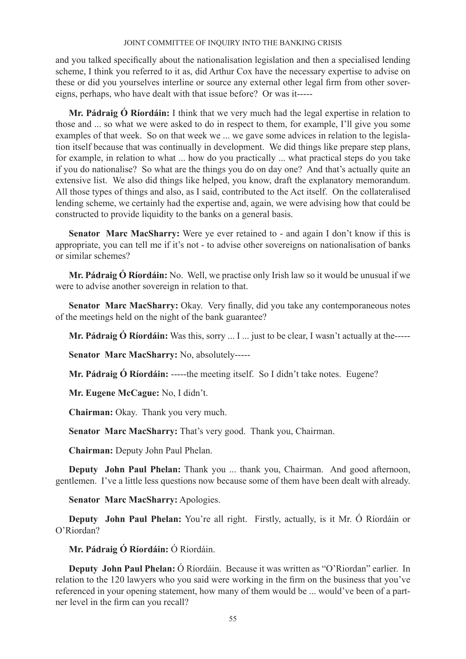and you talked specifically about the nationalisation legislation and then a specialised lending scheme, I think you referred to it as, did Arthur Cox have the necessary expertise to advise on these or did you yourselves interline or source any external other legal firm from other sovereigns, perhaps, who have dealt with that issue before? Or was it-----

**Mr. Pádraig Ó Ríordáin:** I think that we very much had the legal expertise in relation to those and ... so what we were asked to do in respect to them, for example, I'll give you some examples of that week. So on that week we ... we gave some advices in relation to the legislation itself because that was continually in development. We did things like prepare step plans, for example, in relation to what ... how do you practically ... what practical steps do you take if you do nationalise? So what are the things you do on day one? And that's actually quite an extensive list. We also did things like helped, you know, draft the explanatory memorandum. All those types of things and also, as I said, contributed to the Act itself. On the collateralised lending scheme, we certainly had the expertise and, again, we were advising how that could be constructed to provide liquidity to the banks on a general basis.

**Senator Marc MacSharry:** Were ye ever retained to - and again I don't know if this is appropriate, you can tell me if it's not - to advise other sovereigns on nationalisation of banks or similar schemes?

**Mr. Pádraig Ó Ríordáin:** No. Well, we practise only Irish law so it would be unusual if we were to advise another sovereign in relation to that.

**Senator Marc MacSharry:** Okay. Very finally, did you take any contemporaneous notes of the meetings held on the night of the bank guarantee?

**Mr. Pádraig Ó Ríordáin:** Was this, sorry ... I ... just to be clear, I wasn't actually at the-----

**Senator Marc MacSharry:** No, absolutely-----

**Mr. Pádraig Ó Ríordáin:** -----the meeting itself. So I didn't take notes. Eugene?

**Mr. Eugene McCague:** No, I didn't.

**Chairman:** Okay. Thank you very much.

**Senator Marc MacSharry:** That's very good. Thank you, Chairman.

**Chairman:** Deputy John Paul Phelan.

**Deputy John Paul Phelan:** Thank you ... thank you, Chairman. And good afternoon, gentlemen. I've a little less questions now because some of them have been dealt with already.

**Senator Marc MacSharry:** Apologies.

**Deputy John Paul Phelan:** You're all right. Firstly, actually, is it Mr. Ó Ríordáin or O'Riordan?

**Mr. Pádraig Ó Ríordáin:** Ó Ríordáin.

**Deputy John Paul Phelan:** Ó Ríordáin. Because it was written as "O'Riordan" earlier. In relation to the 120 lawyers who you said were working in the firm on the business that you've referenced in your opening statement, how many of them would be ... would've been of a partner level in the firm can you recall?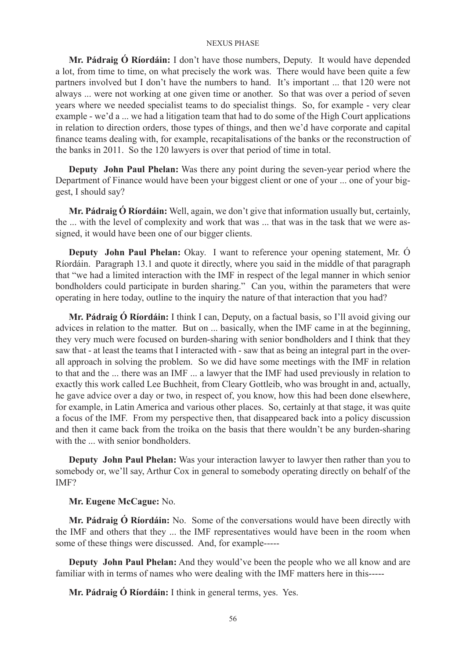**Mr. Pádraig Ó Ríordáin:** I don't have those numbers, Deputy. It would have depended a lot, from time to time, on what precisely the work was. There would have been quite a few partners involved but I don't have the numbers to hand. It's important ... that 120 were not always ... were not working at one given time or another. So that was over a period of seven years where we needed specialist teams to do specialist things. So, for example - very clear example - we'd a ... we had a litigation team that had to do some of the High Court applications in relation to direction orders, those types of things, and then we'd have corporate and capital finance teams dealing with, for example, recapitalisations of the banks or the reconstruction of the banks in 2011. So the 120 lawyers is over that period of time in total.

**Deputy John Paul Phelan:** Was there any point during the seven-year period where the Department of Finance would have been your biggest client or one of your ... one of your biggest, I should say?

**Mr. Pádraig Ó Ríordáin:** Well, again, we don't give that information usually but, certainly, the ... with the level of complexity and work that was ... that was in the task that we were assigned, it would have been one of our bigger clients.

**Deputy John Paul Phelan:** Okay. I want to reference your opening statement, Mr. Ó Ríordáin. Paragraph 13.1 and quote it directly, where you said in the middle of that paragraph that "we had a limited interaction with the IMF in respect of the legal manner in which senior bondholders could participate in burden sharing." Can you, within the parameters that were operating in here today, outline to the inquiry the nature of that interaction that you had?

**Mr. Pádraig Ó Ríordáin:** I think I can, Deputy, on a factual basis, so I'll avoid giving our advices in relation to the matter. But on ... basically, when the IMF came in at the beginning, they very much were focused on burden-sharing with senior bondholders and I think that they saw that - at least the teams that I interacted with - saw that as being an integral part in the overall approach in solving the problem. So we did have some meetings with the IMF in relation to that and the ... there was an IMF ... a lawyer that the IMF had used previously in relation to exactly this work called Lee Buchheit, from Cleary Gottleib, who was brought in and, actually, he gave advice over a day or two, in respect of, you know, how this had been done elsewhere, for example, in Latin America and various other places. So, certainly at that stage, it was quite a focus of the IMF. From my perspective then, that disappeared back into a policy discussion and then it came back from the troika on the basis that there wouldn't be any burden-sharing with the with senior bondholders.

**Deputy John Paul Phelan:** Was your interaction lawyer to lawyer then rather than you to somebody or, we'll say, Arthur Cox in general to somebody operating directly on behalf of the IMF?

## **Mr. Eugene McCague:** No.

**Mr. Pádraig Ó Ríordáin:** No. Some of the conversations would have been directly with the IMF and others that they ... the IMF representatives would have been in the room when some of these things were discussed. And, for example-----

**Deputy John Paul Phelan:** And they would've been the people who we all know and are familiar with in terms of names who were dealing with the IMF matters here in this-----

**Mr. Pádraig Ó Ríordáin:** I think in general terms, yes. Yes.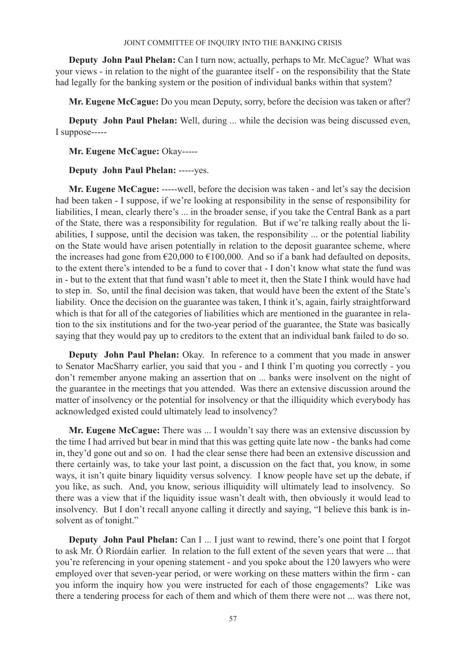**Deputy John Paul Phelan:** Can I turn now, actually, perhaps to Mr. McCague? What was your views - in relation to the night of the guarantee itself - on the responsibility that the State had legally for the banking system or the position of individual banks within that system?

**Mr. Eugene McCague:** Do you mean Deputy, sorry, before the decision was taken or after?

**Deputy John Paul Phelan:** Well, during ... while the decision was being discussed even, I suppose-----

## **Mr. Eugene McCague:** Okay-----

## **Deputy John Paul Phelan:** -----yes.

**Mr. Eugene McCague:** -----well, before the decision was taken - and let's say the decision had been taken - I suppose, if we're looking at responsibility in the sense of responsibility for liabilities, I mean, clearly there's ... in the broader sense, if you take the Central Bank as a part of the State, there was a responsibility for regulation. But if we're talking really about the liabilities, I suppose, until the decision was taken, the responsibility ... or the potential liability on the State would have arisen potentially in relation to the deposit guarantee scheme, where the increases had gone from  $\epsilon$ 20,000 to  $\epsilon$ 100,000. And so if a bank had defaulted on deposits, to the extent there's intended to be a fund to cover that - I don't know what state the fund was in - but to the extent that that fund wasn't able to meet it, then the State I think would have had to step in. So, until the final decision was taken, that would have been the extent of the State's liability. Once the decision on the guarantee was taken, I think it's, again, fairly straightforward which is that for all of the categories of liabilities which are mentioned in the guarantee in relation to the six institutions and for the two-year period of the guarantee, the State was basically saying that they would pay up to creditors to the extent that an individual bank failed to do so.

**Deputy John Paul Phelan:** Okay. In reference to a comment that you made in answer to Senator MacSharry earlier, you said that you - and I think I'm quoting you correctly - you don't remember anyone making an assertion that on ... banks were insolvent on the night of the guarantee in the meetings that you attended. Was there an extensive discussion around the matter of insolvency or the potential for insolvency or that the illiquidity which everybody has acknowledged existed could ultimately lead to insolvency?

**Mr. Eugene McCague:** There was ... I wouldn't say there was an extensive discussion by the time I had arrived but bear in mind that this was getting quite late now - the banks had come in, they'd gone out and so on. I had the clear sense there had been an extensive discussion and there certainly was, to take your last point, a discussion on the fact that, you know, in some ways, it isn't quite binary liquidity versus solvency. I know people have set up the debate, if you like, as such. And, you know, serious illiquidity will ultimately lead to insolvency. So there was a view that if the liquidity issue wasn't dealt with, then obviously it would lead to insolvency. But I don't recall anyone calling it directly and saying, "I believe this bank is insolvent as of tonight."

**Deputy John Paul Phelan:** Can I ... I just want to rewind, there's one point that I forgot to ask Mr. Ó Ríordáin earlier. In relation to the full extent of the seven years that were ... that you're referencing in your opening statement - and you spoke about the 120 lawyers who were employed over that seven-year period, or were working on these matters within the firm - can you inform the inquiry how you were instructed for each of those engagements? Like was there a tendering process for each of them and which of them there were not ... was there not,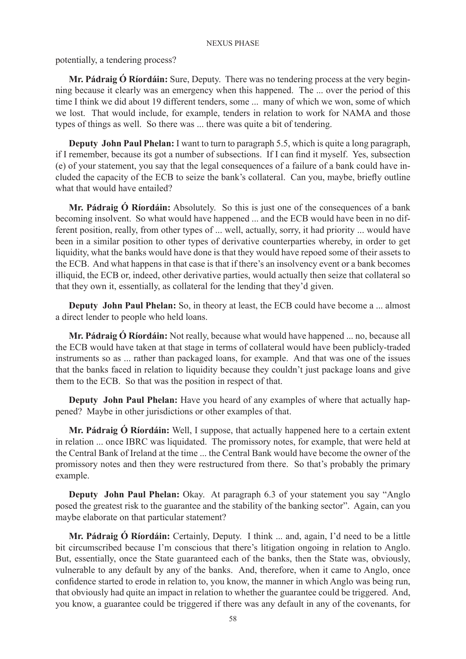potentially, a tendering process?

**Mr. Pádraig Ó Ríordáin:** Sure, Deputy. There was no tendering process at the very beginning because it clearly was an emergency when this happened. The ... over the period of this time I think we did about 19 different tenders, some ... many of which we won, some of which we lost. That would include, for example, tenders in relation to work for NAMA and those types of things as well. So there was ... there was quite a bit of tendering.

**Deputy John Paul Phelan:** I want to turn to paragraph 5.5, which is quite a long paragraph, if I remember, because its got a number of subsections. If I can find it myself. Yes, subsection (e) of your statement, you say that the legal consequences of a failure of a bank could have included the capacity of the ECB to seize the bank's collateral. Can you, maybe, briefly outline what that would have entailed?

**Mr. Pádraig Ó Ríordáin:** Absolutely. So this is just one of the consequences of a bank becoming insolvent. So what would have happened ... and the ECB would have been in no different position, really, from other types of ... well, actually, sorry, it had priority ... would have been in a similar position to other types of derivative counterparties whereby, in order to get liquidity, what the banks would have done is that they would have repoed some of their assets to the ECB. And what happens in that case is that if there's an insolvency event or a bank becomes illiquid, the ECB or, indeed, other derivative parties, would actually then seize that collateral so that they own it, essentially, as collateral for the lending that they'd given.

**Deputy John Paul Phelan:** So, in theory at least, the ECB could have become a ... almost a direct lender to people who held loans.

**Mr. Pádraig Ó Ríordáin:** Not really, because what would have happened ... no, because all the ECB would have taken at that stage in terms of collateral would have been publicly-traded instruments so as ... rather than packaged loans, for example. And that was one of the issues that the banks faced in relation to liquidity because they couldn't just package loans and give them to the ECB. So that was the position in respect of that.

**Deputy John Paul Phelan:** Have you heard of any examples of where that actually happened? Maybe in other jurisdictions or other examples of that.

**Mr. Pádraig Ó Ríordáin:** Well, I suppose, that actually happened here to a certain extent in relation ... once IBRC was liquidated. The promissory notes, for example, that were held at the Central Bank of Ireland at the time ... the Central Bank would have become the owner of the promissory notes and then they were restructured from there. So that's probably the primary example.

**Deputy John Paul Phelan:** Okay. At paragraph 6.3 of your statement you say "Anglo posed the greatest risk to the guarantee and the stability of the banking sector". Again, can you maybe elaborate on that particular statement?

**Mr. Pádraig Ó Ríordáin:** Certainly, Deputy. I think ... and, again, I'd need to be a little bit circumscribed because I'm conscious that there's litigation ongoing in relation to Anglo. But, essentially, once the State guaranteed each of the banks, then the State was, obviously, vulnerable to any default by any of the banks. And, therefore, when it came to Anglo, once confidence started to erode in relation to, you know, the manner in which Anglo was being run, that obviously had quite an impact in relation to whether the guarantee could be triggered. And, you know, a guarantee could be triggered if there was any default in any of the covenants, for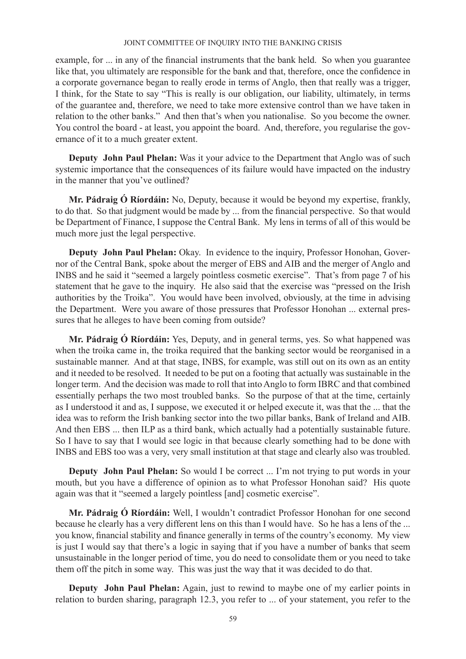example, for ... in any of the financial instruments that the bank held. So when you guarantee like that, you ultimately are responsible for the bank and that, therefore, once the confidence in a corporate governance began to really erode in terms of Anglo, then that really was a trigger, I think, for the State to say "This is really is our obligation, our liability, ultimately, in terms of the guarantee and, therefore, we need to take more extensive control than we have taken in relation to the other banks." And then that's when you nationalise. So you become the owner. You control the board - at least, you appoint the board. And, therefore, you regularise the governance of it to a much greater extent.

**Deputy John Paul Phelan:** Was it your advice to the Department that Anglo was of such systemic importance that the consequences of its failure would have impacted on the industry in the manner that you've outlined?

**Mr. Pádraig Ó Ríordáin:** No, Deputy, because it would be beyond my expertise, frankly, to do that. So that judgment would be made by ... from the financial perspective. So that would be Department of Finance, I suppose the Central Bank. My lens in terms of all of this would be much more just the legal perspective.

**Deputy John Paul Phelan:** Okay. In evidence to the inquiry, Professor Honohan, Governor of the Central Bank, spoke about the merger of EBS and AIB and the merger of Anglo and INBS and he said it "seemed a largely pointless cosmetic exercise". That's from page 7 of his statement that he gave to the inquiry. He also said that the exercise was "pressed on the Irish" authorities by the Troika". You would have been involved, obviously, at the time in advising the Department. Were you aware of those pressures that Professor Honohan ... external pressures that he alleges to have been coming from outside?

**Mr. Pádraig Ó Ríordáin:** Yes, Deputy, and in general terms, yes. So what happened was when the troika came in, the troika required that the banking sector would be reorganised in a sustainable manner. And at that stage, INBS, for example, was still out on its own as an entity and it needed to be resolved. It needed to be put on a footing that actually was sustainable in the longer term. And the decision was made to roll that into Anglo to form IBRC and that combined essentially perhaps the two most troubled banks. So the purpose of that at the time, certainly as I understood it and as, I suppose, we executed it or helped execute it, was that the ... that the idea was to reform the Irish banking sector into the two pillar banks, Bank of Ireland and AIB. And then EBS ... then ILP as a third bank, which actually had a potentially sustainable future. So I have to say that I would see logic in that because clearly something had to be done with INBS and EBS too was a very, very small institution at that stage and clearly also was troubled.

**Deputy John Paul Phelan:** So would I be correct ... I'm not trying to put words in your mouth, but you have a difference of opinion as to what Professor Honohan said? His quote again was that it "seemed a largely pointless [and] cosmetic exercise".

**Mr. Pádraig Ó Ríordáin:** Well, I wouldn't contradict Professor Honohan for one second because he clearly has a very different lens on this than I would have. So he has a lens of the ... you know, financial stability and finance generally in terms of the country's economy. My view is just I would say that there's a logic in saying that if you have a number of banks that seem unsustainable in the longer period of time, you do need to consolidate them or you need to take them off the pitch in some way. This was just the way that it was decided to do that.

**Deputy John Paul Phelan:** Again, just to rewind to maybe one of my earlier points in relation to burden sharing, paragraph 12.3, you refer to ... of your statement, you refer to the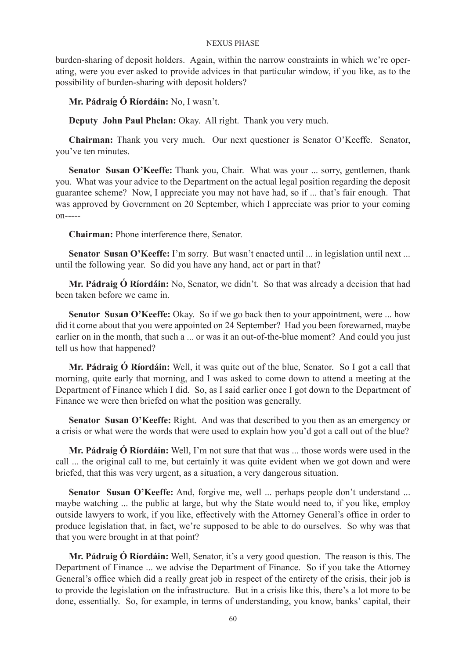burden-sharing of deposit holders. Again, within the narrow constraints in which we're operating, were you ever asked to provide advices in that particular window, if you like, as to the possibility of burden-sharing with deposit holders?

**Mr. Pádraig Ó Ríordáin:** No, I wasn't.

**Deputy John Paul Phelan:** Okay. All right. Thank you very much.

**Chairman:** Thank you very much. Our next questioner is Senator O'Keeffe. Senator, you've ten minutes.

**Senator Susan O'Keeffe:** Thank you, Chair. What was your ... sorry, gentlemen, thank you. What was your advice to the Department on the actual legal position regarding the deposit guarantee scheme? Now, I appreciate you may not have had, so if ... that's fair enough. That was approved by Government on 20 September, which I appreciate was prior to your coming on-----

**Chairman:** Phone interference there, Senator.

**Senator Susan O'Keeffe:** I'm sorry. But wasn't enacted until ... in legislation until next ... until the following year. So did you have any hand, act or part in that?

**Mr. Pádraig Ó Ríordáin:** No, Senator, we didn't. So that was already a decision that had been taken before we came in.

**Senator Susan O'Keeffe:** Okay. So if we go back then to your appointment, were ... how did it come about that you were appointed on 24 September? Had you been forewarned, maybe earlier on in the month, that such a ... or was it an out-of-the-blue moment? And could you just tell us how that happened?

**Mr. Pádraig Ó Ríordáin:** Well, it was quite out of the blue, Senator. So I got a call that morning, quite early that morning, and I was asked to come down to attend a meeting at the Department of Finance which I did. So, as I said earlier once I got down to the Department of Finance we were then briefed on what the position was generally.

**Senator Susan O'Keeffe:** Right. And was that described to you then as an emergency or a crisis or what were the words that were used to explain how you'd got a call out of the blue?

**Mr. Pádraig Ó Ríordáin:** Well, I'm not sure that that was ... those words were used in the call ... the original call to me, but certainly it was quite evident when we got down and were briefed, that this was very urgent, as a situation, a very dangerous situation.

**Senator Susan O'Keeffe:** And, forgive me, well ... perhaps people don't understand ... maybe watching ... the public at large, but why the State would need to, if you like, employ outside lawyers to work, if you like, effectively with the Attorney General's office in order to produce legislation that, in fact, we're supposed to be able to do ourselves. So why was that that you were brought in at that point?

**Mr. Pádraig Ó Ríordáin:** Well, Senator, it's a very good question. The reason is this. The Department of Finance ... we advise the Department of Finance. So if you take the Attorney General's office which did a really great job in respect of the entirety of the crisis, their job is to provide the legislation on the infrastructure. But in a crisis like this, there's a lot more to be done, essentially. So, for example, in terms of understanding, you know, banks' capital, their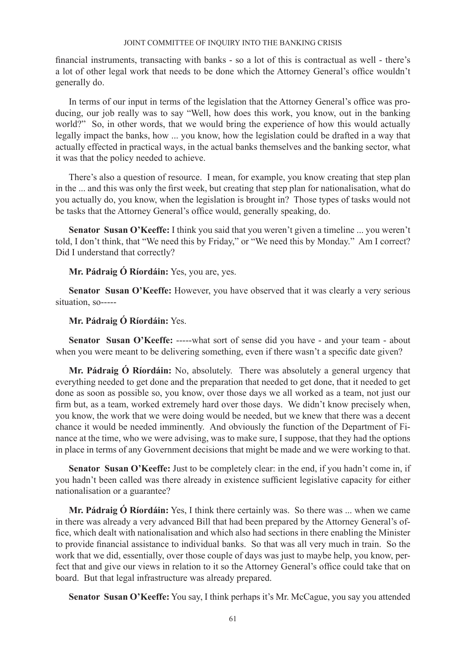financial instruments, transacting with banks - so a lot of this is contractual as well - there's a lot of other legal work that needs to be done which the Attorney General's office wouldn't generally do.

In terms of our input in terms of the legislation that the Attorney General's office was producing, our job really was to say "Well, how does this work, you know, out in the banking world?" So, in other words, that we would bring the experience of how this would actually legally impact the banks, how ... you know, how the legislation could be drafted in a way that actually effected in practical ways, in the actual banks themselves and the banking sector, what it was that the policy needed to achieve.

There's also a question of resource. I mean, for example, you know creating that step plan in the ... and this was only the first week, but creating that step plan for nationalisation, what do you actually do, you know, when the legislation is brought in? Those types of tasks would not be tasks that the Attorney General's office would, generally speaking, do.

**Senator Susan O'Keeffe:** I think you said that you weren't given a timeline ... you weren't told, I don't think, that "We need this by Friday," or "We need this by Monday." Am I correct? Did I understand that correctly?

**Mr. Pádraig Ó Ríordáin:** Yes, you are, yes.

**Senator Susan O'Keeffe:** However, you have observed that it was clearly a very serious situation, so-----

## **Mr. Pádraig Ó Ríordáin:** Yes.

**Senator Susan O'Keeffe:** -----what sort of sense did you have - and your team - about when you were meant to be delivering something, even if there wasn't a specific date given?

**Mr. Pádraig Ó Ríordáin:** No, absolutely. There was absolutely a general urgency that everything needed to get done and the preparation that needed to get done, that it needed to get done as soon as possible so, you know, over those days we all worked as a team, not just our firm but, as a team, worked extremely hard over those days. We didn't know precisely when, you know, the work that we were doing would be needed, but we knew that there was a decent chance it would be needed imminently. And obviously the function of the Department of Finance at the time, who we were advising, was to make sure, I suppose, that they had the options in place in terms of any Government decisions that might be made and we were working to that.

Senator Susan O'Keeffe: Just to be completely clear: in the end, if you hadn't come in, if you hadn't been called was there already in existence sufficient legislative capacity for either nationalisation or a guarantee?

**Mr. Pádraig Ó Ríordáin:** Yes, I think there certainly was. So there was ... when we came in there was already a very advanced Bill that had been prepared by the Attorney General's office, which dealt with nationalisation and which also had sections in there enabling the Minister to provide financial assistance to individual banks. So that was all very much in train. So the work that we did, essentially, over those couple of days was just to maybe help, you know, perfect that and give our views in relation to it so the Attorney General's office could take that on board. But that legal infrastructure was already prepared.

**Senator Susan O'Keeffe:** You say, I think perhaps it's Mr. McCague, you say you attended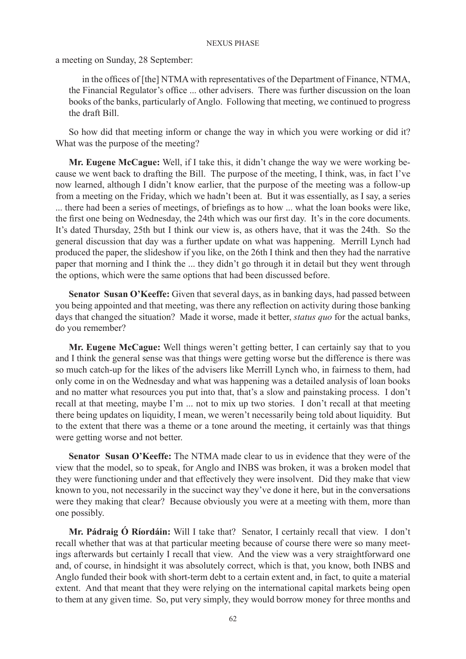a meeting on Sunday, 28 September:

in the offices of [the] NTMA with representatives of the Department of Finance, NTMA, the Financial Regulator's office ... other advisers. There was further discussion on the loan books of the banks, particularly of Anglo. Following that meeting, we continued to progress the draft Bill.

So how did that meeting inform or change the way in which you were working or did it? What was the purpose of the meeting?

**Mr. Eugene McCague:** Well, if I take this, it didn't change the way we were working because we went back to drafting the Bill. The purpose of the meeting, I think, was, in fact I've now learned, although I didn't know earlier, that the purpose of the meeting was a follow-up from a meeting on the Friday, which we hadn't been at. But it was essentially, as I say, a series ... there had been a series of meetings, of briefings as to how ... what the loan books were like, the first one being on Wednesday, the 24th which was our first day. It's in the core documents. It's dated Thursday, 25th but I think our view is, as others have, that it was the 24th. So the general discussion that day was a further update on what was happening. Merrill Lynch had produced the paper, the slideshow if you like, on the 26th I think and then they had the narrative paper that morning and I think the ... they didn't go through it in detail but they went through the options, which were the same options that had been discussed before.

**Senator Susan O'Keeffe:** Given that several days, as in banking days, had passed between you being appointed and that meeting, was there any reflection on activity during those banking days that changed the situation? Made it worse, made it better, *status quo* for the actual banks, do you remember?

**Mr. Eugene McCague:** Well things weren't getting better, I can certainly say that to you and I think the general sense was that things were getting worse but the difference is there was so much catch-up for the likes of the advisers like Merrill Lynch who, in fairness to them, had only come in on the Wednesday and what was happening was a detailed analysis of loan books and no matter what resources you put into that, that's a slow and painstaking process. I don't recall at that meeting, maybe I'm ... not to mix up two stories. I don't recall at that meeting there being updates on liquidity, I mean, we weren't necessarily being told about liquidity. But to the extent that there was a theme or a tone around the meeting, it certainly was that things were getting worse and not better.

**Senator Susan O'Keeffe:** The NTMA made clear to us in evidence that they were of the view that the model, so to speak, for Anglo and INBS was broken, it was a broken model that they were functioning under and that effectively they were insolvent. Did they make that view known to you, not necessarily in the succinct way they've done it here, but in the conversations were they making that clear? Because obviously you were at a meeting with them, more than one possibly.

**Mr. Pádraig Ó Ríordáin:** Will I take that? Senator, I certainly recall that view. I don't recall whether that was at that particular meeting because of course there were so many meetings afterwards but certainly I recall that view. And the view was a very straightforward one and, of course, in hindsight it was absolutely correct, which is that, you know, both INBS and Anglo funded their book with short-term debt to a certain extent and, in fact, to quite a material extent. And that meant that they were relying on the international capital markets being open to them at any given time. So, put very simply, they would borrow money for three months and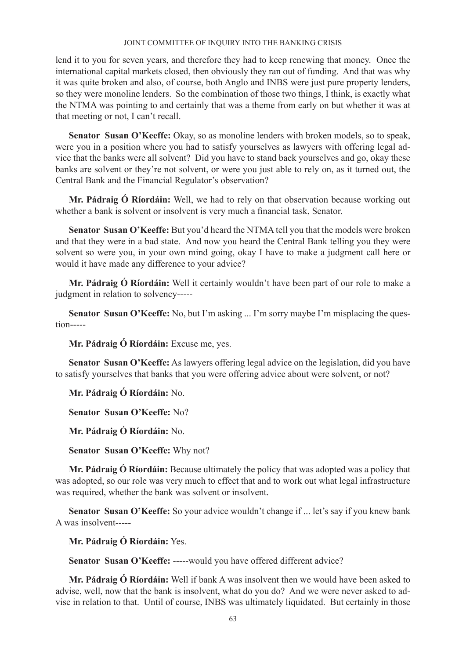lend it to you for seven years, and therefore they had to keep renewing that money. Once the international capital markets closed, then obviously they ran out of funding. And that was why it was quite broken and also, of course, both Anglo and INBS were just pure property lenders, so they were monoline lenders. So the combination of those two things, I think, is exactly what the NTMA was pointing to and certainly that was a theme from early on but whether it was at that meeting or not, I can't recall.

**Senator Susan O'Keeffe:** Okay, so as monoline lenders with broken models, so to speak, were you in a position where you had to satisfy yourselves as lawyers with offering legal advice that the banks were all solvent? Did you have to stand back yourselves and go, okay these banks are solvent or they're not solvent, or were you just able to rely on, as it turned out, the Central Bank and the Financial Regulator's observation?

**Mr. Pádraig Ó Ríordáin:** Well, we had to rely on that observation because working out whether a bank is solvent or insolvent is very much a financial task, Senator.

**Senator Susan O'Keeffe:** But you'd heard the NTMA tell you that the models were broken and that they were in a bad state. And now you heard the Central Bank telling you they were solvent so were you, in your own mind going, okay I have to make a judgment call here or would it have made any difference to your advice?

**Mr. Pádraig Ó Ríordáin:** Well it certainly wouldn't have been part of our role to make a judgment in relation to solvency-----

**Senator Susan O'Keeffe:** No, but I'm asking ... I'm sorry maybe I'm misplacing the question-----

**Mr. Pádraig Ó Ríordáin:** Excuse me, yes.

**Senator Susan O'Keeffe:** As lawyers offering legal advice on the legislation, did you have to satisfy yourselves that banks that you were offering advice about were solvent, or not?

**Mr. Pádraig Ó Ríordáin:** No.

**Senator Susan O'Keeffe:** No?

**Mr. Pádraig Ó Ríordáin:** No.

**Senator Susan O'Keeffe:** Why not?

**Mr. Pádraig Ó Ríordáin:** Because ultimately the policy that was adopted was a policy that was adopted, so our role was very much to effect that and to work out what legal infrastructure was required, whether the bank was solvent or insolvent.

**Senator Susan O'Keeffe:** So your advice wouldn't change if ... let's say if you knew bank A was insolvent-----

**Mr. Pádraig Ó Ríordáin:** Yes.

**Senator Susan O'Keeffe:** -----would you have offered different advice?

**Mr. Pádraig Ó Ríordáin:** Well if bank A was insolvent then we would have been asked to advise, well, now that the bank is insolvent, what do you do? And we were never asked to advise in relation to that. Until of course, INBS was ultimately liquidated. But certainly in those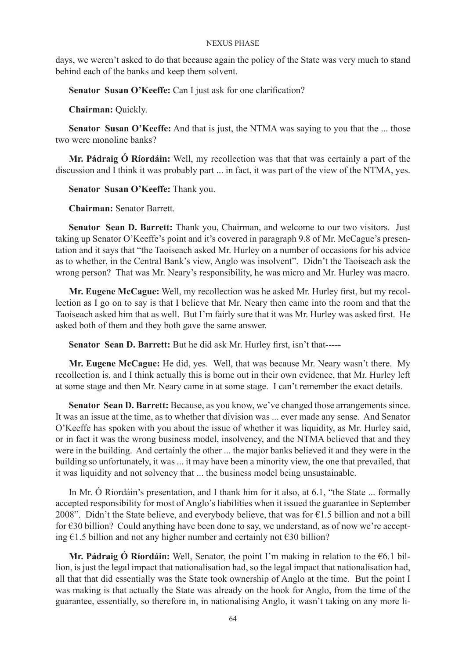days, we weren't asked to do that because again the policy of the State was very much to stand behind each of the banks and keep them solvent.

**Senator Susan O'Keeffe:** Can I just ask for one clarification?

**Chairman:** Quickly.

**Senator Susan O'Keeffe:** And that is just, the NTMA was saying to you that the ... those two were monoline banks?

**Mr. Pádraig Ó Ríordáin:** Well, my recollection was that that was certainly a part of the discussion and I think it was probably part ... in fact, it was part of the view of the NTMA, yes.

**Senator Susan O'Keeffe:** Thank you.

**Chairman:** Senator Barrett.

**Senator Sean D. Barrett:** Thank you, Chairman, and welcome to our two visitors. Just taking up Senator O'Keeffe's point and it's covered in paragraph 9.8 of Mr. McCague's presentation and it says that "the Taoiseach asked Mr. Hurley on a number of occasions for his advice as to whether, in the Central Bank's view, Anglo was insolvent". Didn't the Taoiseach ask the wrong person? That was Mr. Neary's responsibility, he was micro and Mr. Hurley was macro.

**Mr. Eugene McCague:** Well, my recollection was he asked Mr. Hurley first, but my recollection as I go on to say is that I believe that Mr. Neary then came into the room and that the Taoiseach asked him that as well. But I'm fairly sure that it was Mr. Hurley was asked first. He asked both of them and they both gave the same answer.

**Senator Sean D. Barrett:** But he did ask Mr. Hurley first, isn't that-----

**Mr. Eugene McCague:** He did, yes. Well, that was because Mr. Neary wasn't there. My recollection is, and I think actually this is borne out in their own evidence, that Mr. Hurley left at some stage and then Mr. Neary came in at some stage. I can't remember the exact details.

**Senator Sean D. Barrett:** Because, as you know, we've changed those arrangements since. It was an issue at the time, as to whether that division was ... ever made any sense. And Senator O'Keeffe has spoken with you about the issue of whether it was liquidity, as Mr. Hurley said, or in fact it was the wrong business model, insolvency, and the NTMA believed that and they were in the building. And certainly the other ... the major banks believed it and they were in the building so unfortunately, it was ... it may have been a minority view, the one that prevailed, that it was liquidity and not solvency that ... the business model being unsustainable.

In Mr. Ó Ríordáin's presentation, and I thank him for it also, at 6.1, "the State ... formally accepted responsibility for most of Anglo's liabilities when it issued the guarantee in September 2008". Didn't the State believe, and everybody believe, that was for  $\epsilon$ 1.5 billion and not a bill for €30 billion? Could anything have been done to say, we understand, as of now we're accepting  $\epsilon$ 1.5 billion and not any higher number and certainly not  $\epsilon$ 30 billion?

**Mr. Pádraig Ó Ríordáin:** Well, Senator, the point I'm making in relation to the €6.1 billion, is just the legal impact that nationalisation had, so the legal impact that nationalisation had, all that that did essentially was the State took ownership of Anglo at the time. But the point I was making is that actually the State was already on the hook for Anglo, from the time of the guarantee, essentially, so therefore in, in nationalising Anglo, it wasn't taking on any more li-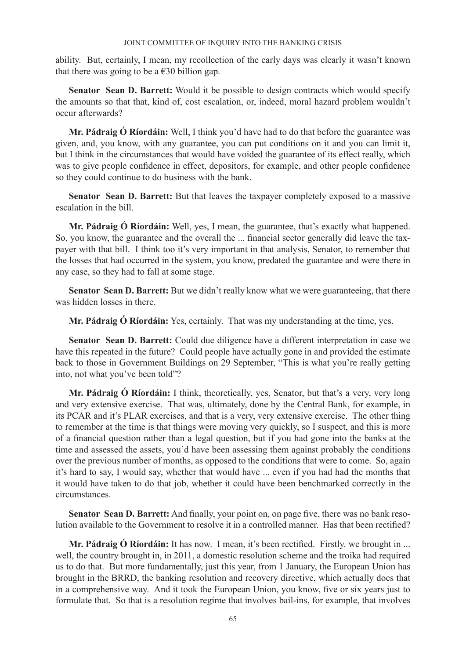ability. But, certainly, I mean, my recollection of the early days was clearly it wasn't known that there was going to be a  $\epsilon$ 30 billion gap.

**Senator Sean D. Barrett:** Would it be possible to design contracts which would specify the amounts so that that, kind of, cost escalation, or, indeed, moral hazard problem wouldn't occur afterwards?

**Mr. Pádraig Ó Ríordáin:** Well, I think you'd have had to do that before the guarantee was given, and, you know, with any guarantee, you can put conditions on it and you can limit it, but I think in the circumstances that would have voided the guarantee of its effect really, which was to give people confidence in effect, depositors, for example, and other people confidence so they could continue to do business with the bank.

**Senator Sean D. Barrett:** But that leaves the taxpayer completely exposed to a massive escalation in the bill.

**Mr. Pádraig Ó Ríordáin:** Well, yes, I mean, the guarantee, that's exactly what happened. So, you know, the guarantee and the overall the ... financial sector generally did leave the taxpayer with that bill. I think too it's very important in that analysis, Senator, to remember that the losses that had occurred in the system, you know, predated the guarantee and were there in any case, so they had to fall at some stage.

Senator Sean D. Barrett: But we didn't really know what we were guaranteeing, that there was hidden losses in there.

**Mr. Pádraig Ó Ríordáin:** Yes, certainly. That was my understanding at the time, yes.

**Senator Sean D. Barrett:** Could due diligence have a different interpretation in case we have this repeated in the future? Could people have actually gone in and provided the estimate back to those in Government Buildings on 29 September, "This is what you're really getting into, not what you've been told"?

**Mr. Pádraig Ó Ríordáin:** I think, theoretically, yes, Senator, but that's a very, very long and very extensive exercise. That was, ultimately, done by the Central Bank, for example, in its PCAR and it's PLAR exercises, and that is a very, very extensive exercise. The other thing to remember at the time is that things were moving very quickly, so I suspect, and this is more of a financial question rather than a legal question, but if you had gone into the banks at the time and assessed the assets, you'd have been assessing them against probably the conditions over the previous number of months, as opposed to the conditions that were to come. So, again it's hard to say, I would say, whether that would have ... even if you had had the months that it would have taken to do that job, whether it could have been benchmarked correctly in the circumstances.

**Senator Sean D. Barrett:** And finally, your point on, on page five, there was no bank resolution available to the Government to resolve it in a controlled manner. Has that been rectified?

**Mr. Pádraig Ó Ríordáin:** It has now. I mean, it's been rectified. Firstly. we brought in ... well, the country brought in, in 2011, a domestic resolution scheme and the troika had required us to do that. But more fundamentally, just this year, from 1 January, the European Union has brought in the BRRD, the banking resolution and recovery directive, which actually does that in a comprehensive way. And it took the European Union, you know, five or six years just to formulate that. So that is a resolution regime that involves bail-ins, for example, that involves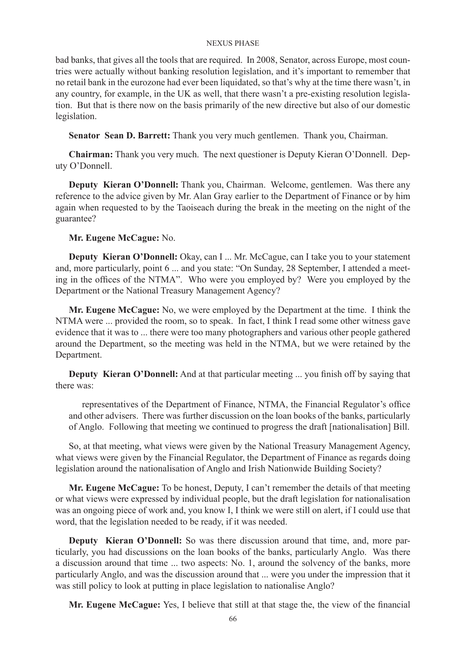bad banks, that gives all the tools that are required. In 2008, Senator, across Europe, most countries were actually without banking resolution legislation, and it's important to remember that no retail bank in the eurozone had ever been liquidated, so that's why at the time there wasn't, in any country, for example, in the UK as well, that there wasn't a pre-existing resolution legislation. But that is there now on the basis primarily of the new directive but also of our domestic legislation.

**Senator Sean D. Barrett:** Thank you very much gentlemen. Thank you, Chairman.

**Chairman:** Thank you very much. The next questioner is Deputy Kieran O'Donnell. Deputy O'Donnell.

**Deputy Kieran O'Donnell:** Thank you, Chairman. Welcome, gentlemen. Was there any reference to the advice given by Mr. Alan Gray earlier to the Department of Finance or by him again when requested to by the Taoiseach during the break in the meeting on the night of the guarantee?

## **Mr. Eugene McCague:** No.

**Deputy Kieran O'Donnell:** Okay, can I ... Mr. McCague, can I take you to your statement and, more particularly, point 6 ... and you state: "On Sunday, 28 September, I attended a meeting in the offices of the NTMA". Who were you employed by? Were you employed by the Department or the National Treasury Management Agency?

**Mr. Eugene McCague:** No, we were employed by the Department at the time. I think the NTMA were ... provided the room, so to speak. In fact, I think I read some other witness gave evidence that it was to ... there were too many photographers and various other people gathered around the Department, so the meeting was held in the NTMA, but we were retained by the Department.

**Deputy Kieran O'Donnell:** And at that particular meeting ... you finish off by saying that there was:

representatives of the Department of Finance, NTMA, the Financial Regulator's office and other advisers. There was further discussion on the loan books of the banks, particularly of Anglo. Following that meeting we continued to progress the draft [nationalisation] Bill.

So, at that meeting, what views were given by the National Treasury Management Agency, what views were given by the Financial Regulator, the Department of Finance as regards doing legislation around the nationalisation of Anglo and Irish Nationwide Building Society?

**Mr. Eugene McCague:** To be honest, Deputy, I can't remember the details of that meeting or what views were expressed by individual people, but the draft legislation for nationalisation was an ongoing piece of work and, you know I, I think we were still on alert, if I could use that word, that the legislation needed to be ready, if it was needed.

**Deputy Kieran O'Donnell:** So was there discussion around that time, and, more particularly, you had discussions on the loan books of the banks, particularly Anglo. Was there a discussion around that time ... two aspects: No. 1, around the solvency of the banks, more particularly Anglo, and was the discussion around that ... were you under the impression that it was still policy to look at putting in place legislation to nationalise Anglo?

**Mr. Eugene McCague:** Yes, I believe that still at that stage the, the view of the financial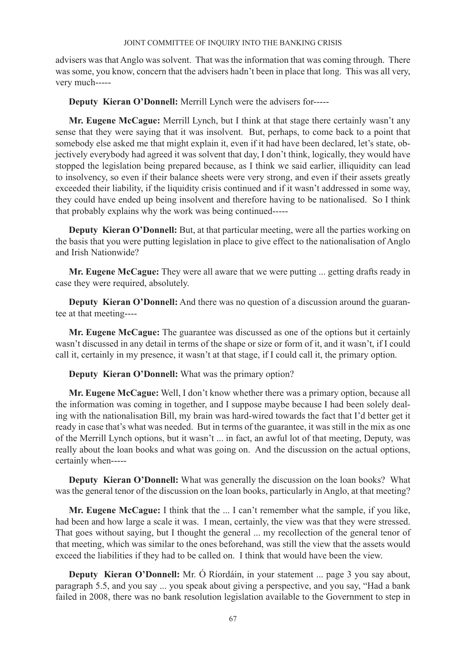advisers was that Anglo was solvent. That was the information that was coming through. There was some, you know, concern that the advisers hadn't been in place that long. This was all very, very much-----

**Deputy Kieran O'Donnell:** Merrill Lynch were the advisers for-----

**Mr. Eugene McCague:** Merrill Lynch, but I think at that stage there certainly wasn't any sense that they were saying that it was insolvent. But, perhaps, to come back to a point that somebody else asked me that might explain it, even if it had have been declared, let's state, objectively everybody had agreed it was solvent that day, I don't think, logically, they would have stopped the legislation being prepared because, as I think we said earlier, illiquidity can lead to insolvency, so even if their balance sheets were very strong, and even if their assets greatly exceeded their liability, if the liquidity crisis continued and if it wasn't addressed in some way, they could have ended up being insolvent and therefore having to be nationalised. So I think that probably explains why the work was being continued-----

**Deputy Kieran O'Donnell:** But, at that particular meeting, were all the parties working on the basis that you were putting legislation in place to give effect to the nationalisation of Anglo and Irish Nationwide?

**Mr. Eugene McCague:** They were all aware that we were putting ... getting drafts ready in case they were required, absolutely.

**Deputy Kieran O'Donnell:** And there was no question of a discussion around the guarantee at that meeting----

**Mr. Eugene McCague:** The guarantee was discussed as one of the options but it certainly wasn't discussed in any detail in terms of the shape or size or form of it, and it wasn't, if I could call it, certainly in my presence, it wasn't at that stage, if I could call it, the primary option.

**Deputy Kieran O'Donnell:** What was the primary option?

**Mr. Eugene McCague:** Well, I don't know whether there was a primary option, because all the information was coming in together, and I suppose maybe because I had been solely dealing with the nationalisation Bill, my brain was hard-wired towards the fact that I'd better get it ready in case that's what was needed. But in terms of the guarantee, it was still in the mix as one of the Merrill Lynch options, but it wasn't ... in fact, an awful lot of that meeting, Deputy, was really about the loan books and what was going on. And the discussion on the actual options, certainly when-----

**Deputy Kieran O'Donnell:** What was generally the discussion on the loan books? What was the general tenor of the discussion on the loan books, particularly in Anglo, at that meeting?

**Mr. Eugene McCague:** I think that the ... I can't remember what the sample, if you like, had been and how large a scale it was. I mean, certainly, the view was that they were stressed. That goes without saying, but I thought the general ... my recollection of the general tenor of that meeting, which was similar to the ones beforehand, was still the view that the assets would exceed the liabilities if they had to be called on. I think that would have been the view.

**Deputy Kieran O'Donnell:** Mr. Ó Ríordáin, in your statement ... page 3 you say about, paragraph 5.5, and you say ... you speak about giving a perspective, and you say, "Had a bank failed in 2008, there was no bank resolution legislation available to the Government to step in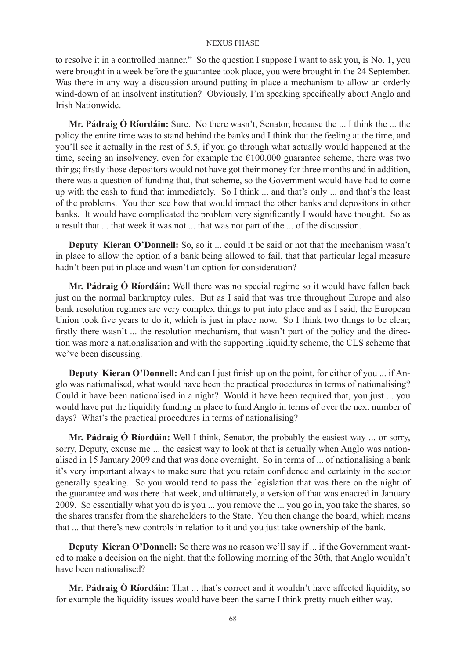to resolve it in a controlled manner." So the question I suppose I want to ask you, is No. 1, you were brought in a week before the guarantee took place, you were brought in the 24 September. Was there in any way a discussion around putting in place a mechanism to allow an orderly wind-down of an insolvent institution? Obviously, I'm speaking specifically about Anglo and Irish Nationwide.

**Mr. Pádraig Ó Ríordáin:** Sure. No there wasn't, Senator, because the ... I think the ... the policy the entire time was to stand behind the banks and I think that the feeling at the time, and you'll see it actually in the rest of 5.5, if you go through what actually would happened at the time, seeing an insolvency, even for example the  $\epsilon$ 100,000 guarantee scheme, there was two things; firstly those depositors would not have got their money for three months and in addition, there was a question of funding that, that scheme, so the Government would have had to come up with the cash to fund that immediately. So I think ... and that's only ... and that's the least of the problems. You then see how that would impact the other banks and depositors in other banks. It would have complicated the problem very significantly I would have thought. So as a result that ... that week it was not ... that was not part of the ... of the discussion.

**Deputy Kieran O'Donnell:** So, so it ... could it be said or not that the mechanism wasn't in place to allow the option of a bank being allowed to fail, that that particular legal measure hadn't been put in place and wasn't an option for consideration?

**Mr. Pádraig Ó Ríordáin:** Well there was no special regime so it would have fallen back just on the normal bankruptcy rules. But as I said that was true throughout Europe and also bank resolution regimes are very complex things to put into place and as I said, the European Union took five years to do it, which is just in place now. So I think two things to be clear; firstly there wasn't ... the resolution mechanism, that wasn't part of the policy and the direction was more a nationalisation and with the supporting liquidity scheme, the CLS scheme that we've been discussing.

**Deputy Kieran O'Donnell:** And can I just finish up on the point, for either of you ... if Anglo was nationalised, what would have been the practical procedures in terms of nationalising? Could it have been nationalised in a night? Would it have been required that, you just ... you would have put the liquidity funding in place to fund Anglo in terms of over the next number of days? What's the practical procedures in terms of nationalising?

**Mr. Pádraig Ó Ríordáin:** Well I think, Senator, the probably the easiest way ... or sorry, sorry, Deputy, excuse me ... the easiest way to look at that is actually when Anglo was nationalised in 15 January 2009 and that was done overnight. So in terms of ... of nationalising a bank it's very important always to make sure that you retain confidence and certainty in the sector generally speaking. So you would tend to pass the legislation that was there on the night of the guarantee and was there that week, and ultimately, a version of that was enacted in January 2009. So essentially what you do is you ... you remove the ... you go in, you take the shares, so the shares transfer from the shareholders to the State. You then change the board, which means that ... that there's new controls in relation to it and you just take ownership of the bank.

**Deputy Kieran O'Donnell:** So there was no reason we'll say if ... if the Government wanted to make a decision on the night, that the following morning of the 30th, that Anglo wouldn't have been nationalised?

**Mr. Pádraig Ó Ríordáin:** That ... that's correct and it wouldn't have affected liquidity, so for example the liquidity issues would have been the same I think pretty much either way.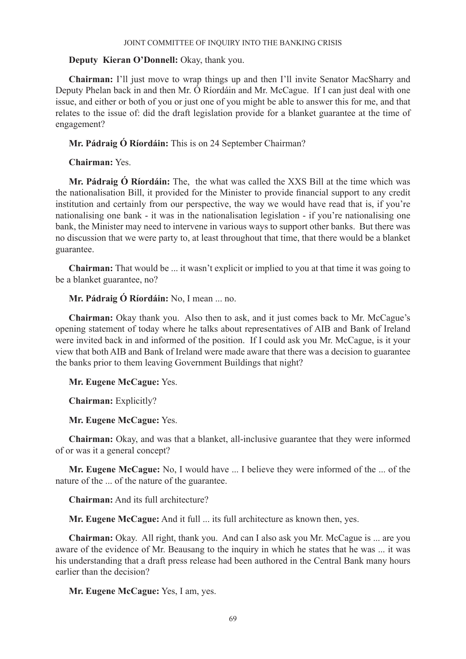## **Deputy Kieran O'Donnell:** Okay, thank you.

**Chairman:** I'll just move to wrap things up and then I'll invite Senator MacSharry and Deputy Phelan back in and then Mr. Ó Ríordáin and Mr. McCague. If I can just deal with one issue, and either or both of you or just one of you might be able to answer this for me, and that relates to the issue of: did the draft legislation provide for a blanket guarantee at the time of engagement?

**Mr. Pádraig Ó Ríordáin:** This is on 24 September Chairman?

**Chairman:** Yes.

**Mr. Pádraig Ó Ríordáin:** The, the what was called the XXS Bill at the time which was the nationalisation Bill, it provided for the Minister to provide financial support to any credit institution and certainly from our perspective, the way we would have read that is, if you're nationalising one bank - it was in the nationalisation legislation - if you're nationalising one bank, the Minister may need to intervene in various ways to support other banks. But there was no discussion that we were party to, at least throughout that time, that there would be a blanket guarantee.

**Chairman:** That would be ... it wasn't explicit or implied to you at that time it was going to be a blanket guarantee, no?

**Mr. Pádraig Ó Ríordáin:** No, I mean ... no.

**Chairman:** Okay thank you. Also then to ask, and it just comes back to Mr. McCague's opening statement of today where he talks about representatives of AIB and Bank of Ireland were invited back in and informed of the position. If I could ask you Mr. McCague, is it your view that both AIB and Bank of Ireland were made aware that there was a decision to guarantee the banks prior to them leaving Government Buildings that night?

**Mr. Eugene McCague:** Yes.

**Chairman:** Explicitly?

**Mr. Eugene McCague:** Yes.

**Chairman:** Okay, and was that a blanket, all-inclusive guarantee that they were informed of or was it a general concept?

**Mr. Eugene McCague:** No, I would have ... I believe they were informed of the ... of the nature of the ... of the nature of the guarantee.

**Chairman:** And its full architecture?

**Mr. Eugene McCague:** And it full ... its full architecture as known then, yes.

**Chairman:** Okay. All right, thank you. And can I also ask you Mr. McCague is ... are you aware of the evidence of Mr. Beausang to the inquiry in which he states that he was ... it was his understanding that a draft press release had been authored in the Central Bank many hours earlier than the decision?

**Mr. Eugene McCague:** Yes, I am, yes.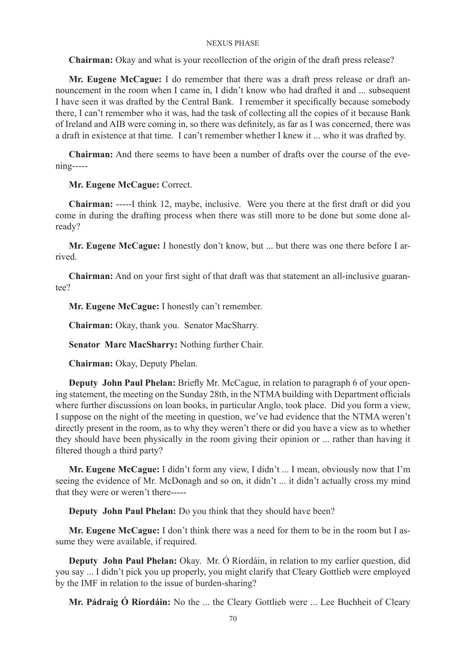**Chairman:** Okay and what is your recollection of the origin of the draft press release?

**Mr. Eugene McCague:** I do remember that there was a draft press release or draft announcement in the room when I came in, I didn't know who had drafted it and ... subsequent I have seen it was drafted by the Central Bank. I remember it specifically because somebody there, I can't remember who it was, had the task of collecting all the copies of it because Bank of Ireland and AIB were coming in, so there was definitely, as far as I was concerned, there was a draft in existence at that time. I can't remember whether I knew it ... who it was drafted by.

**Chairman:** And there seems to have been a number of drafts over the course of the evening-----

## **Mr. Eugene McCague:** Correct.

**Chairman:** -----I think 12, maybe, inclusive. Were you there at the first draft or did you come in during the drafting process when there was still more to be done but some done already?

**Mr. Eugene McCague:** I honestly don't know, but ... but there was one there before I arrived.

**Chairman:** And on your first sight of that draft was that statement an all-inclusive guarantee?

**Mr. Eugene McCague:** I honestly can't remember.

**Chairman:** Okay, thank you. Senator MacSharry.

**Senator Marc MacSharry:** Nothing further Chair.

**Chairman:** Okay, Deputy Phelan.

**Deputy John Paul Phelan:** Briefly Mr. McCague, in relation to paragraph 6 of your opening statement, the meeting on the Sunday 28th, in the NTMA building with Department officials where further discussions on loan books, in particular Anglo, took place. Did you form a view, I suppose on the night of the meeting in question, we've had evidence that the NTMA weren't directly present in the room, as to why they weren't there or did you have a view as to whether they should have been physically in the room giving their opinion or ... rather than having it filtered though a third party?

**Mr. Eugene McCague:** I didn't form any view, I didn't ... I mean, obviously now that I'm seeing the evidence of Mr. McDonagh and so on, it didn't ... it didn't actually cross my mind that they were or weren't there-----

**Deputy John Paul Phelan:** Do you think that they should have been?

**Mr. Eugene McCague:** I don't think there was a need for them to be in the room but I assume they were available, if required.

**Deputy John Paul Phelan:** Okay. Mr. Ó Ríordáin, in relation to my earlier question, did you say ... I didn't pick you up properly, you might clarify that Cleary Gottlieb were employed by the IMF in relation to the issue of burden-sharing?

**Mr. Pádraig Ó Ríordáin:** No the ... the Cleary Gottlieb were ... Lee Buchheit of Cleary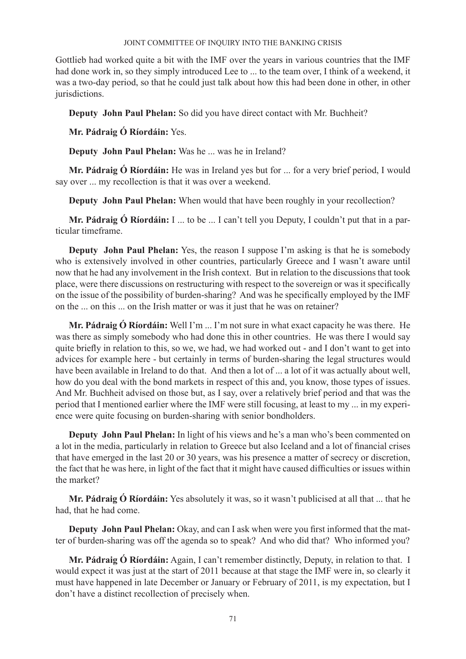Gottlieb had worked quite a bit with the IMF over the years in various countries that the IMF had done work in, so they simply introduced Lee to ... to the team over, I think of a weekend, it was a two-day period, so that he could just talk about how this had been done in other, in other jurisdictions.

**Deputy John Paul Phelan:** So did you have direct contact with Mr. Buchheit?

**Mr. Pádraig Ó Ríordáin:** Yes.

**Deputy John Paul Phelan:** Was he ... was he in Ireland?

**Mr. Pádraig Ó Ríordáin:** He was in Ireland yes but for ... for a very brief period, I would say over ... my recollection is that it was over a weekend.

**Deputy John Paul Phelan:** When would that have been roughly in your recollection?

**Mr. Pádraig Ó Ríordáin:** I ... to be ... I can't tell you Deputy, I couldn't put that in a particular timeframe.

**Deputy John Paul Phelan:** Yes, the reason I suppose I'm asking is that he is somebody who is extensively involved in other countries, particularly Greece and I wasn't aware until now that he had any involvement in the Irish context. But in relation to the discussions that took place, were there discussions on restructuring with respect to the sovereign or was it specifically on the issue of the possibility of burden-sharing? And was he specifically employed by the IMF on the ... on this ... on the Irish matter or was it just that he was on retainer?

**Mr. Pádraig Ó Ríordáin:** Well I'm ... I'm not sure in what exact capacity he was there. He was there as simply somebody who had done this in other countries. He was there I would say quite briefly in relation to this, so we, we had, we had worked out - and I don't want to get into advices for example here - but certainly in terms of burden-sharing the legal structures would have been available in Ireland to do that. And then a lot of ... a lot of it was actually about well, how do you deal with the bond markets in respect of this and, you know, those types of issues. And Mr. Buchheit advised on those but, as I say, over a relatively brief period and that was the period that I mentioned earlier where the IMF were still focusing, at least to my ... in my experience were quite focusing on burden-sharing with senior bondholders.

**Deputy John Paul Phelan:** In light of his views and he's a man who's been commented on a lot in the media, particularly in relation to Greece but also Iceland and a lot of financial crises that have emerged in the last 20 or 30 years, was his presence a matter of secrecy or discretion, the fact that he was here, in light of the fact that it might have caused difficulties or issues within the market?

**Mr. Pádraig Ó Ríordáin:** Yes absolutely it was, so it wasn't publicised at all that ... that he had, that he had come.

**Deputy John Paul Phelan:** Okay, and can I ask when were you first informed that the matter of burden-sharing was off the agenda so to speak? And who did that? Who informed you?

**Mr. Pádraig Ó Ríordáin:** Again, I can't remember distinctly, Deputy, in relation to that. I would expect it was just at the start of 2011 because at that stage the IMF were in, so clearly it must have happened in late December or January or February of 2011, is my expectation, but I don't have a distinct recollection of precisely when.